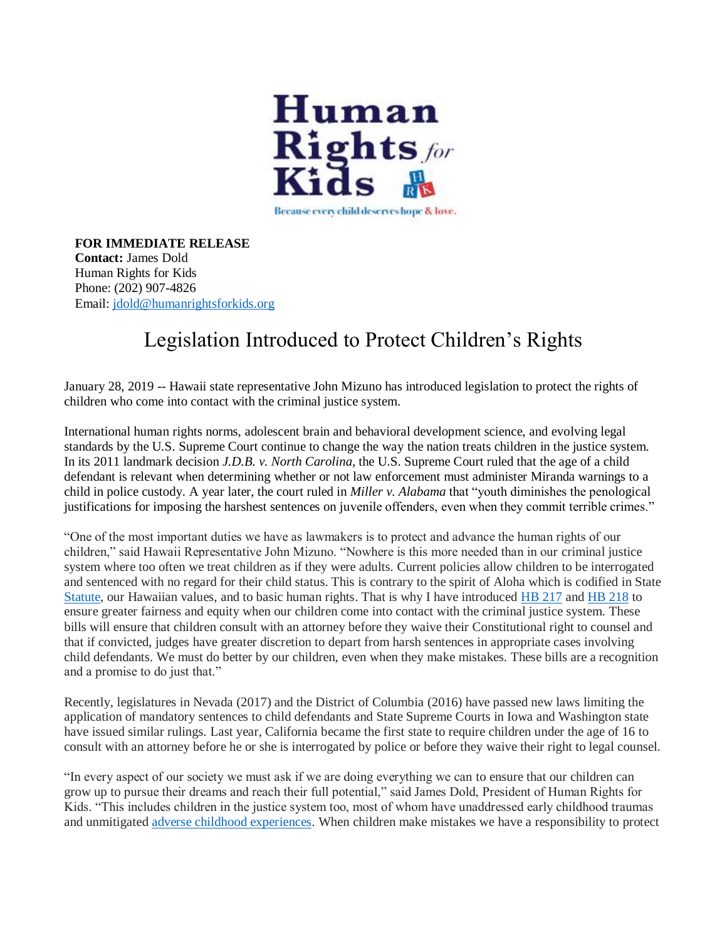

**FOR IMMEDIATE RELEASE Contact:** James Dold Human Rights for Kids Phone: (202) 907-4826 Email: [jdold@humanrightsforkids.org](mailto:jdold@humanrightsforkids.org)

## Legislation Introduced to Protect Children's Rights

January 28, 2019 -- Hawaii state representative John Mizuno has introduced legislation to protect the rights of children who come into contact with the criminal justice system.

International human rights norms, adolescent brain and behavioral development science, and evolving legal standards by the U.S. Supreme Court continue to change the way the nation treats children in the justice system. In its 2011 landmark decision *J.D.B. v. North Carolina*, the U.S. Supreme Court ruled that the age of a child defendant is relevant when determining whether or not law enforcement must administer Miranda warnings to a child in police custody. A year later, the court ruled in *Miller v. Alabama* that "youth diminishes the penological justifications for imposing the harshest sentences on juvenile offenders, even when they commit terrible crimes."

"One of the most important duties we have as lawmakers is to protect and advance the human rights of our children," said Hawaii Representative John Mizuno. "Nowhere is this more needed than in our criminal justice system where too often we treat children as if they were adults. Current policies allow children to be interrogated and sentenced with no regard for their child status. This is contrary to the spirit of Aloha which is codified in State [Statute,](https://www.capitol.hawaii.gov/hrscurrent/Vol01_Ch0001-0042F/HRS0005/HRS_0005-0007_0005.htm?utm_source=Human+Rights+for+Kids&utm_campaign=daee58f17a-EMAIL_CAMPAIGN_2019_01_25_05_55&utm_medium=email&utm_term=0_8d0d2e41c8-daee58f17a-19905019) our Hawaiian values, and to basic human rights. That is why I have introduced [HB 217](https://www.capitol.hawaii.gov/session2019/bills/HB217_.pdf) and [HB 218](https://www.capitol.hawaii.gov/session2019/bills/HB218_.pdf) to ensure greater fairness and equity when our children come into contact with the criminal justice system. These bills will ensure that children consult with an attorney before they waive their Constitutional right to counsel and that if convicted, judges have greater discretion to depart from harsh sentences in appropriate cases involving child defendants. We must do better by our children, even when they make mistakes. These bills are a recognition and a promise to do just that."

Recently, legislatures in Nevada (2017) and the District of Columbia (2016) have passed new laws limiting the application of mandatory sentences to child defendants and State Supreme Courts in Iowa and Washington state have issued similar rulings. Last year, California became the first state to require children under the age of 16 to consult with an attorney before he or she is interrogated by police or before they waive their right to legal counsel.

"In every aspect of our society we must ask if we are doing everything we can to ensure that our children can grow up to pursue their dreams and reach their full potential," said James Dold, President of Human Rights for Kids. "This includes children in the justice system too, most of whom have unaddressed early childhood traumas and unmitigated [adverse childhood experiences.](https://humanrightsforkids.org/wp-content/uploads/2018/12/HRFK-ACES-Infographic-final.pdf) When children make mistakes we have a responsibility to protect